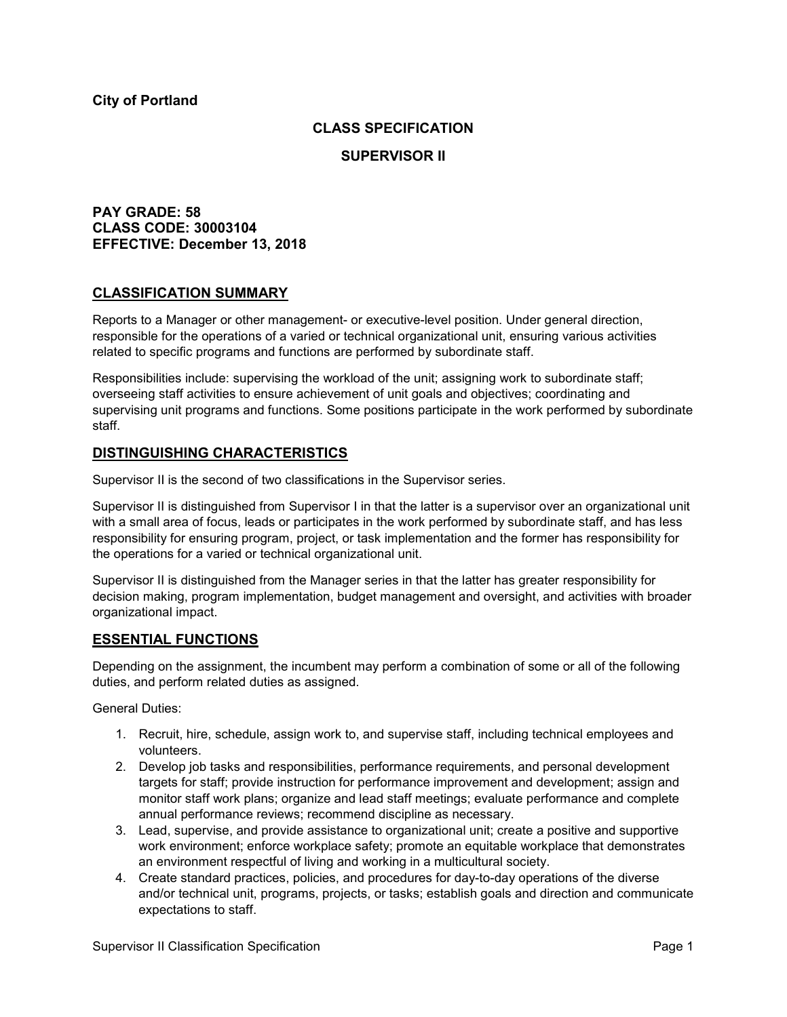# **CLASS SPECIFICATION**

## **SUPERVISOR II**

# **PAY GRADE: 58 CLASS CODE: 30003104 EFFECTIVE: December 13, 2018**

# **CLASSIFICATION SUMMARY**

Reports to a Manager or other management- or executive-level position. Under general direction, responsible for the operations of a varied or technical organizational unit, ensuring various activities related to specific programs and functions are performed by subordinate staff.

Responsibilities include: supervising the workload of the unit; assigning work to subordinate staff; overseeing staff activities to ensure achievement of unit goals and objectives; coordinating and supervising unit programs and functions. Some positions participate in the work performed by subordinate staff.

# **DISTINGUISHING CHARACTERISTICS**

Supervisor II is the second of two classifications in the Supervisor series.

Supervisor II is distinguished from Supervisor I in that the latter is a supervisor over an organizational unit with a small area of focus, leads or participates in the work performed by subordinate staff, and has less responsibility for ensuring program, project, or task implementation and the former has responsibility for the operations for a varied or technical organizational unit.

Supervisor II is distinguished from the Manager series in that the latter has greater responsibility for decision making, program implementation, budget management and oversight, and activities with broader organizational impact.

## **ESSENTIAL FUNCTIONS**

Depending on the assignment, the incumbent may perform a combination of some or all of the following duties, and perform related duties as assigned.

General Duties:

- 1. Recruit, hire, schedule, assign work to, and supervise staff, including technical employees and volunteers.
- 2. Develop job tasks and responsibilities, performance requirements, and personal development targets for staff; provide instruction for performance improvement and development; assign and monitor staff work plans; organize and lead staff meetings; evaluate performance and complete annual performance reviews; recommend discipline as necessary.
- 3. Lead, supervise, and provide assistance to organizational unit; create a positive and supportive work environment; enforce workplace safety; promote an equitable workplace that demonstrates an environment respectful of living and working in a multicultural society.
- 4. Create standard practices, policies, and procedures for day-to-day operations of the diverse and/or technical unit, programs, projects, or tasks; establish goals and direction and communicate expectations to staff.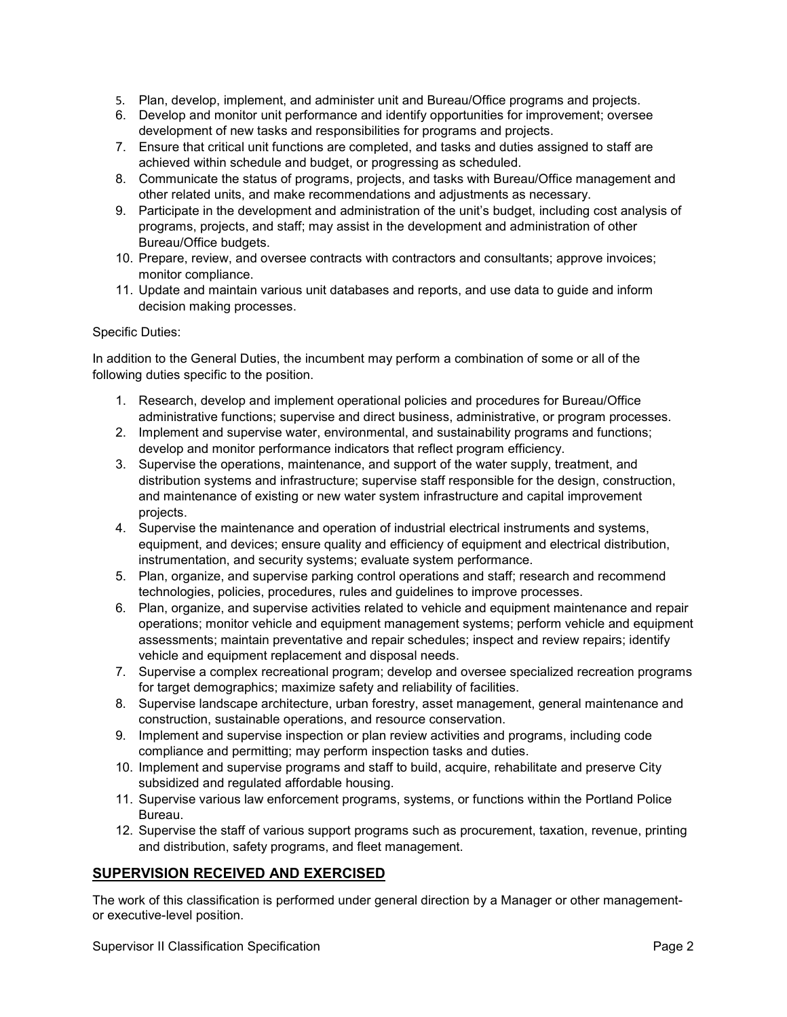- 5. Plan, develop, implement, and administer unit and Bureau/Office programs and projects.
- 6. Develop and monitor unit performance and identify opportunities for improvement; oversee development of new tasks and responsibilities for programs and projects.
- 7. Ensure that critical unit functions are completed, and tasks and duties assigned to staff are achieved within schedule and budget, or progressing as scheduled.
- 8. Communicate the status of programs, projects, and tasks with Bureau/Office management and other related units, and make recommendations and adjustments as necessary.
- 9. Participate in the development and administration of the unit's budget, including cost analysis of programs, projects, and staff; may assist in the development and administration of other Bureau/Office budgets.
- 10. Prepare, review, and oversee contracts with contractors and consultants; approve invoices; monitor compliance.
- 11. Update and maintain various unit databases and reports, and use data to guide and inform decision making processes.

### Specific Duties:

In addition to the General Duties, the incumbent may perform a combination of some or all of the following duties specific to the position.

- 1. Research, develop and implement operational policies and procedures for Bureau/Office administrative functions; supervise and direct business, administrative, or program processes.
- 2. Implement and supervise water, environmental, and sustainability programs and functions; develop and monitor performance indicators that reflect program efficiency.
- 3. Supervise the operations, maintenance, and support of the water supply, treatment, and distribution systems and infrastructure; supervise staff responsible for the design, construction, and maintenance of existing or new water system infrastructure and capital improvement projects.
- 4. Supervise the maintenance and operation of industrial electrical instruments and systems, equipment, and devices; ensure quality and efficiency of equipment and electrical distribution, instrumentation, and security systems; evaluate system performance.
- 5. Plan, organize, and supervise parking control operations and staff; research and recommend technologies, policies, procedures, rules and guidelines to improve processes.
- 6. Plan, organize, and supervise activities related to vehicle and equipment maintenance and repair operations; monitor vehicle and equipment management systems; perform vehicle and equipment assessments; maintain preventative and repair schedules; inspect and review repairs; identify vehicle and equipment replacement and disposal needs.
- 7. Supervise a complex recreational program; develop and oversee specialized recreation programs for target demographics; maximize safety and reliability of facilities.
- 8. Supervise landscape architecture, urban forestry, asset management, general maintenance and construction, sustainable operations, and resource conservation.
- 9. Implement and supervise inspection or plan review activities and programs, including code compliance and permitting; may perform inspection tasks and duties.
- 10. Implement and supervise programs and staff to build, acquire, rehabilitate and preserve City subsidized and regulated affordable housing.
- 11. Supervise various law enforcement programs, systems, or functions within the Portland Police Bureau.
- 12. Supervise the staff of various support programs such as procurement, taxation, revenue, printing and distribution, safety programs, and fleet management.

# **SUPERVISION RECEIVED AND EXERCISED**

The work of this classification is performed under general direction by a Manager or other managementor executive-level position.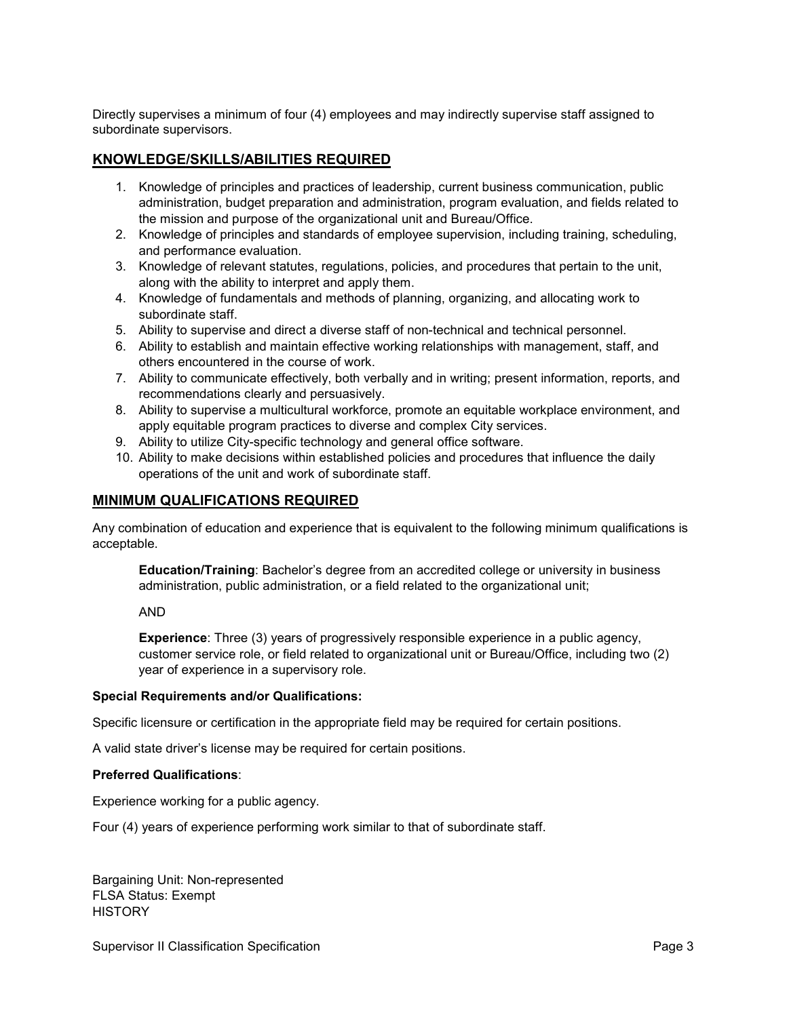Directly supervises a minimum of four (4) employees and may indirectly supervise staff assigned to subordinate supervisors.

## **KNOWLEDGE/SKILLS/ABILITIES REQUIRED**

- 1. Knowledge of principles and practices of leadership, current business communication, public administration, budget preparation and administration, program evaluation, and fields related to the mission and purpose of the organizational unit and Bureau/Office.
- 2. Knowledge of principles and standards of employee supervision, including training, scheduling, and performance evaluation.
- 3. Knowledge of relevant statutes, regulations, policies, and procedures that pertain to the unit, along with the ability to interpret and apply them.
- 4. Knowledge of fundamentals and methods of planning, organizing, and allocating work to subordinate staff.
- 5. Ability to supervise and direct a diverse staff of non-technical and technical personnel.
- 6. Ability to establish and maintain effective working relationships with management, staff, and others encountered in the course of work.
- 7. Ability to communicate effectively, both verbally and in writing; present information, reports, and recommendations clearly and persuasively.
- 8. Ability to supervise a multicultural workforce, promote an equitable workplace environment, and apply equitable program practices to diverse and complex City services.
- 9. Ability to utilize City-specific technology and general office software.
- 10. Ability to make decisions within established policies and procedures that influence the daily operations of the unit and work of subordinate staff.

# **MINIMUM QUALIFICATIONS REQUIRED**

Any combination of education and experience that is equivalent to the following minimum qualifications is acceptable.

**Education/Training**: Bachelor's degree from an accredited college or university in business administration, public administration, or a field related to the organizational unit;

AND

**Experience**: Three (3) years of progressively responsible experience in a public agency, customer service role, or field related to organizational unit or Bureau/Office, including two (2) year of experience in a supervisory role.

#### **Special Requirements and/or Qualifications:**

Specific licensure or certification in the appropriate field may be required for certain positions.

A valid state driver's license may be required for certain positions.

#### **Preferred Qualifications**:

Experience working for a public agency.

Four (4) years of experience performing work similar to that of subordinate staff.

Bargaining Unit: Non-represented FLSA Status: Exempt **HISTORY**